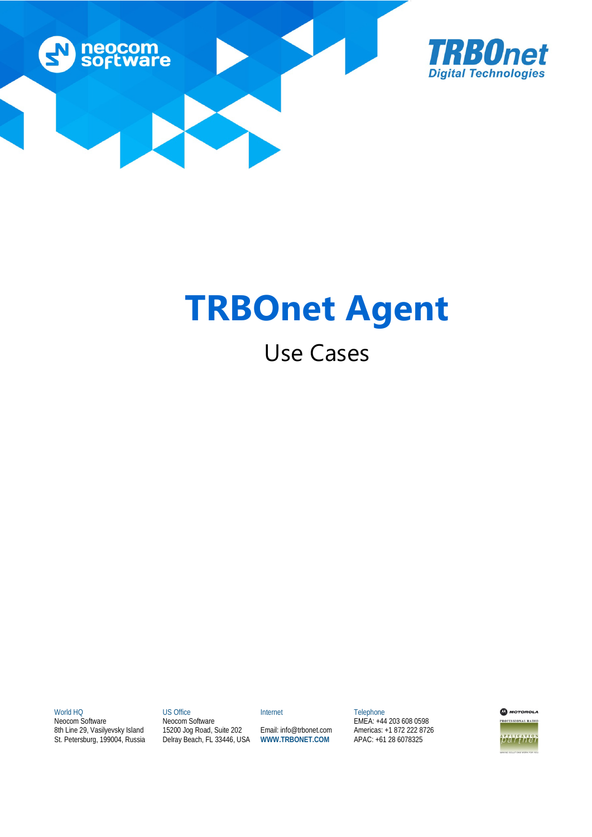



# **TRBOnet Agent**

## Use Cases

World HQ

Neocom Software 8th Line 29, Vasilyevsky Island St. Petersburg, 199004, Russia US Office Neocom Software 15200 Jog Road, Suite 202 Delray Beach, FL 33446, USA Internet

Email: info@trbonet.com **WWW.TRBONET.COM**

Telephone EMEA: +44 203 608 0598 Americas: +1 872 222 8726 APAC: +61 28 6078325

**MOTOROLA FESSIONAL RADIO** 

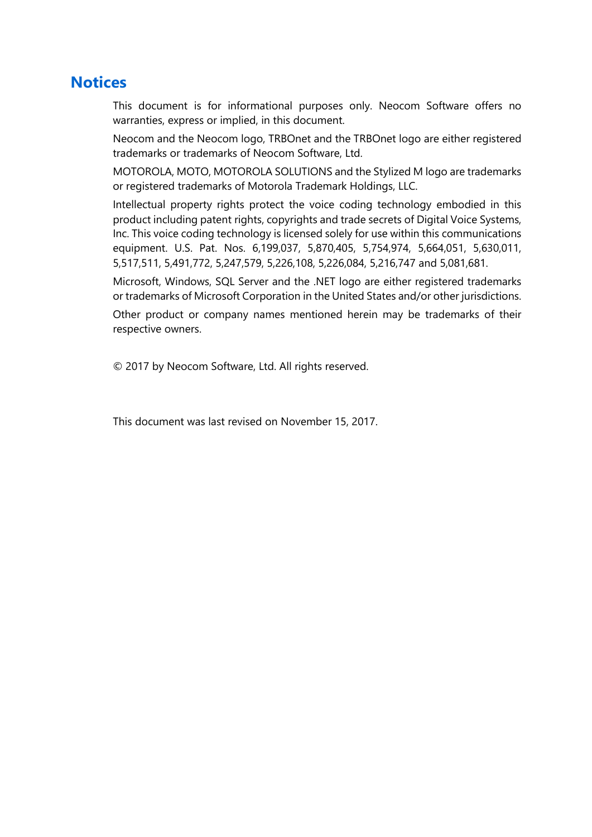## **Notices**

This document is for informational purposes only. Neocom Software offers no warranties, express or implied, in this document.

Neocom and the Neocom logo, TRBOnet and the TRBOnet logo are either registered trademarks or trademarks of Neocom Software, Ltd.

MOTOROLA, MOTO, MOTOROLA SOLUTIONS and the Stylized M logo are trademarks or registered trademarks of Motorola Trademark Holdings, LLC.

Intellectual property rights protect the voice coding technology embodied in this product including patent rights, copyrights and trade secrets of Digital Voice Systems, Inc. This voice coding technology is licensed solely for use within this communications equipment. U.S. Pat. Nos. 6,199,037, 5,870,405, 5,754,974, 5,664,051, 5,630,011, 5,517,511, 5,491,772, 5,247,579, 5,226,108, 5,226,084, 5,216,747 and 5,081,681.

Microsoft, Windows, SQL Server and the .NET logo are either registered trademarks or trademarks of Microsoft Corporation in the United States and/or other jurisdictions.

Other product or company names mentioned herein may be trademarks of their respective owners.

© 2017 by Neocom Software, Ltd. All rights reserved.

This document was last revised on November 15, 2017.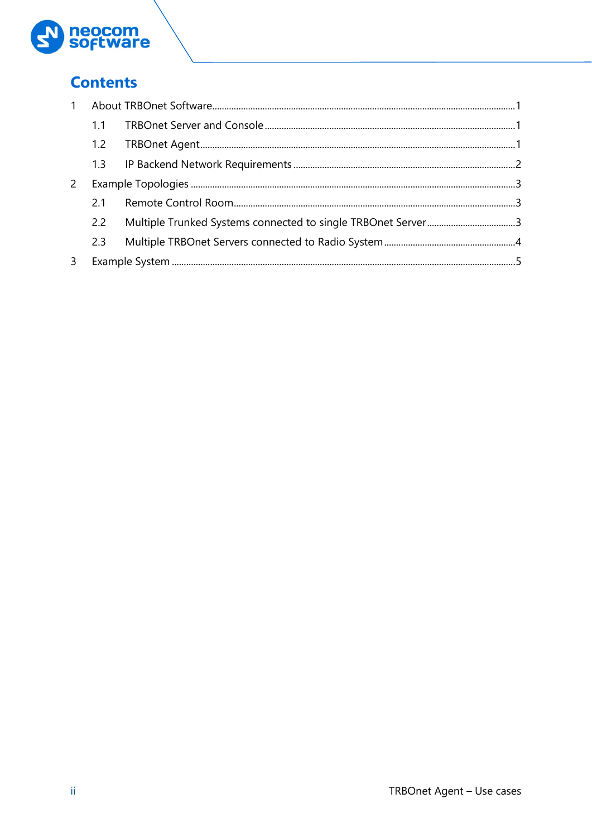

## **Contents**

| 2   |  |  |
|-----|--|--|
| 21  |  |  |
| 2.2 |  |  |
| 2.3 |  |  |
|     |  |  |
|     |  |  |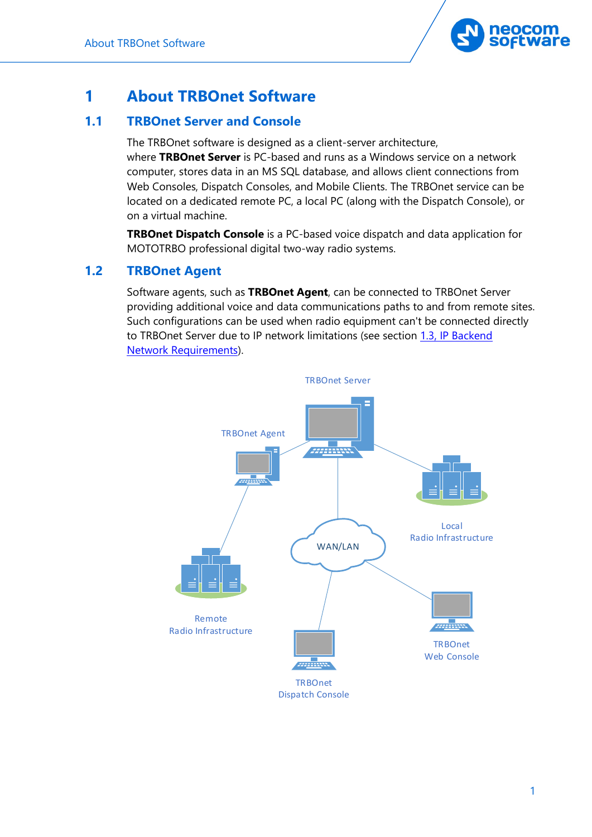

## <span id="page-3-0"></span>**1 About TRBOnet Software**

## <span id="page-3-1"></span>**1.1 TRBOnet Server and Console**

The TRBOnet software is designed as a client-server architecture, where **TRBOnet Server** is PC-based and runs as a Windows service on a network computer, stores data in an MS SQL database, and allows client connections from Web Consoles, Dispatch Consoles, and Mobile Clients. The TRBOnet service can be located on a dedicated remote PC, a local PC (along with the Dispatch Console), or on a virtual machine.

**TRBOnet Dispatch Console** is a PC-based voice dispatch and data application for MOTOTRBO professional digital two-way radio systems.

## <span id="page-3-2"></span>**1.2 TRBOnet Agent**

Software agents, such as **TRBOnet Agent**, can be connected to TRBOnet Server providing additional voice and data communications paths to and from remote sites. Such configurations can be used when radio equipment can't be connected directly to TRBOnet Server due to IP network limitations (see section [1.3, IP Backend](#page-4-1)  [Network Requirements\)](#page-4-1).

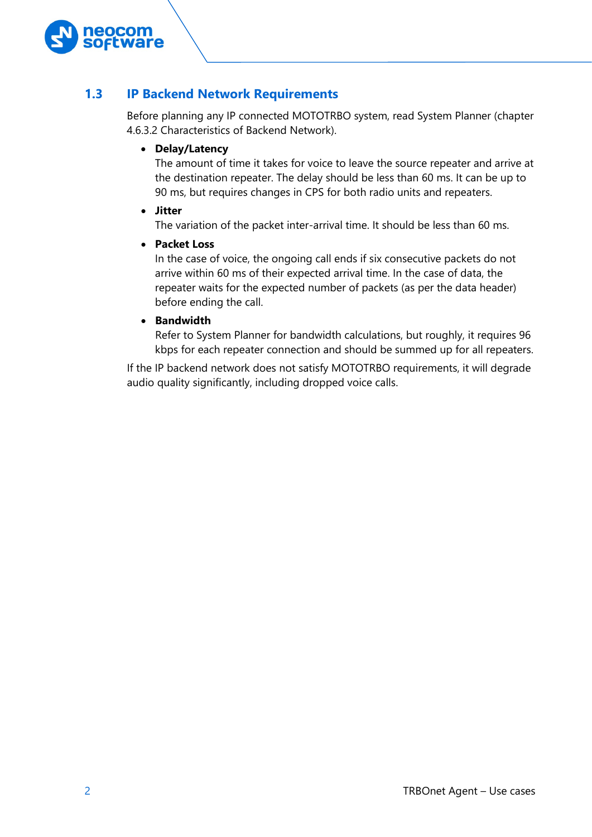

## <span id="page-4-1"></span><span id="page-4-0"></span>**1.3 IP Backend Network Requirements**

Before planning any IP connected MOTOTRBO system, read System Planner (chapter 4.6.3.2 Characteristics of Backend Network).

#### • **Delay/Latency**

The amount of time it takes for voice to leave the source repeater and arrive at the destination repeater. The delay should be less than 60 ms. It can be up to 90 ms, but requires changes in CPS for both radio units and repeaters.

• **Jitter**

The variation of the packet inter-arrival time. It should be less than 60 ms.

• **Packet Loss**

In the case of voice, the ongoing call ends if six consecutive packets do not arrive within 60 ms of their expected arrival time. In the case of data, the repeater waits for the expected number of packets (as per the data header) before ending the call.

#### • **Bandwidth**

Refer to System Planner for bandwidth calculations, but roughly, it requires 96 kbps for each repeater connection and should be summed up for all repeaters.

If the IP backend network does not satisfy MOTOTRBO requirements, it will degrade audio quality significantly, including dropped voice calls.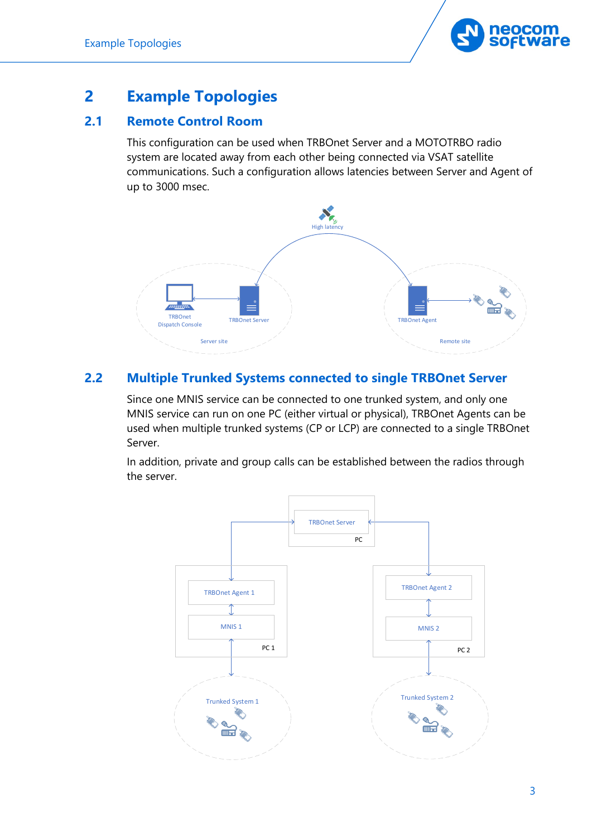

## <span id="page-5-0"></span>**2 Example Topologies**

## <span id="page-5-1"></span>**2.1 Remote Control Room**

This configuration can be used when TRBOnet Server and a MOTOTRBO radio system are located away from each other being connected via VSAT satellite communications. Such a configuration allows latencies between Server and Agent of up to 3000 msec.



## <span id="page-5-2"></span>**2.2 Multiple Trunked Systems connected to single TRBOnet Server**

Since one MNIS service can be connected to one trunked system, and only one MNIS service can run on one PC (either virtual or physical), TRBOnet Agents can be used when multiple trunked systems (CP or LCP) are connected to a single TRBOnet Server.

In addition, private and group calls can be established between the radios through the server.

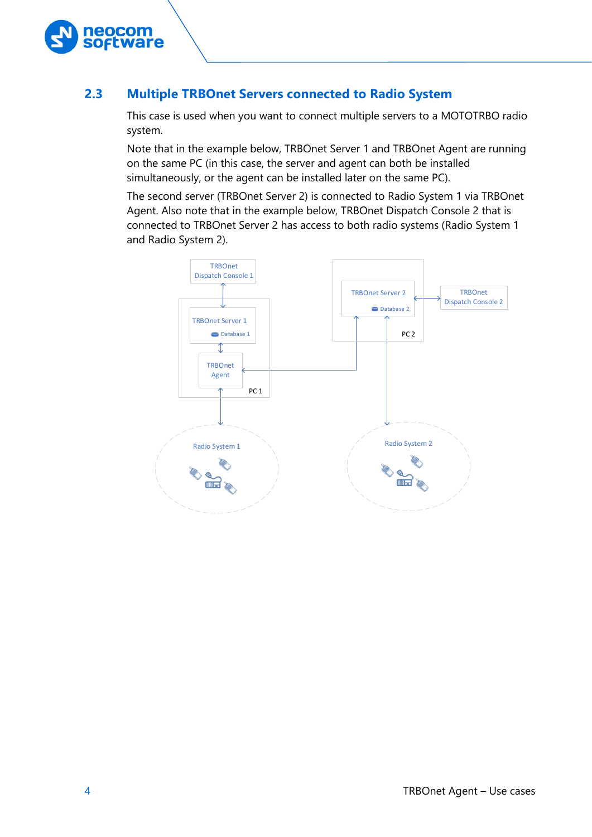

## <span id="page-6-0"></span>**2.3 Multiple TRBOnet Servers connected to Radio System**

This case is used when you want to connect multiple servers to a MOTOTRBO radio system.

Note that in the example below, TRBOnet Server 1 and TRBOnet Agent are running on the same PC (in this case, the server and agent can both be installed simultaneously, or the agent can be installed later on the same PC).

The second server (TRBOnet Server 2) is connected to Radio System 1 via TRBOnet Agent. Also note that in the example below, TRBOnet Dispatch Console 2 that is connected to TRBOnet Server 2 has access to both radio systems (Radio System 1 and Radio System 2).